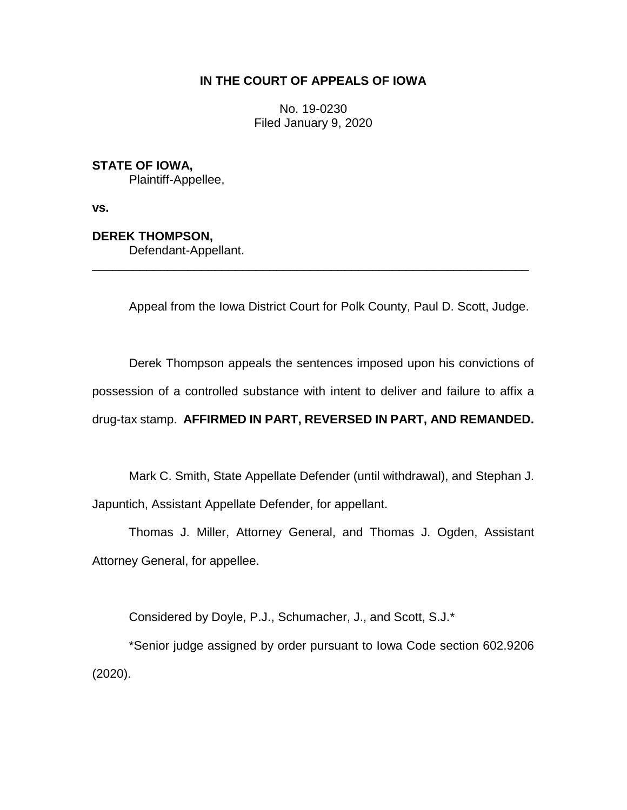# **IN THE COURT OF APPEALS OF IOWA**

No. 19-0230 Filed January 9, 2020

## **STATE OF IOWA,**

Plaintiff-Appellee,

**vs.**

### **DEREK THOMPSON,**

Defendant-Appellant.

Appeal from the Iowa District Court for Polk County, Paul D. Scott, Judge.

\_\_\_\_\_\_\_\_\_\_\_\_\_\_\_\_\_\_\_\_\_\_\_\_\_\_\_\_\_\_\_\_\_\_\_\_\_\_\_\_\_\_\_\_\_\_\_\_\_\_\_\_\_\_\_\_\_\_\_\_\_\_\_\_

Derek Thompson appeals the sentences imposed upon his convictions of possession of a controlled substance with intent to deliver and failure to affix a drug-tax stamp. **AFFIRMED IN PART, REVERSED IN PART, AND REMANDED.** 

Mark C. Smith, State Appellate Defender (until withdrawal), and Stephan J. Japuntich, Assistant Appellate Defender, for appellant.

Thomas J. Miller, Attorney General, and Thomas J. Ogden, Assistant Attorney General, for appellee.

Considered by Doyle, P.J., Schumacher, J., and Scott, S.J.\*

\*Senior judge assigned by order pursuant to Iowa Code section 602.9206 (2020).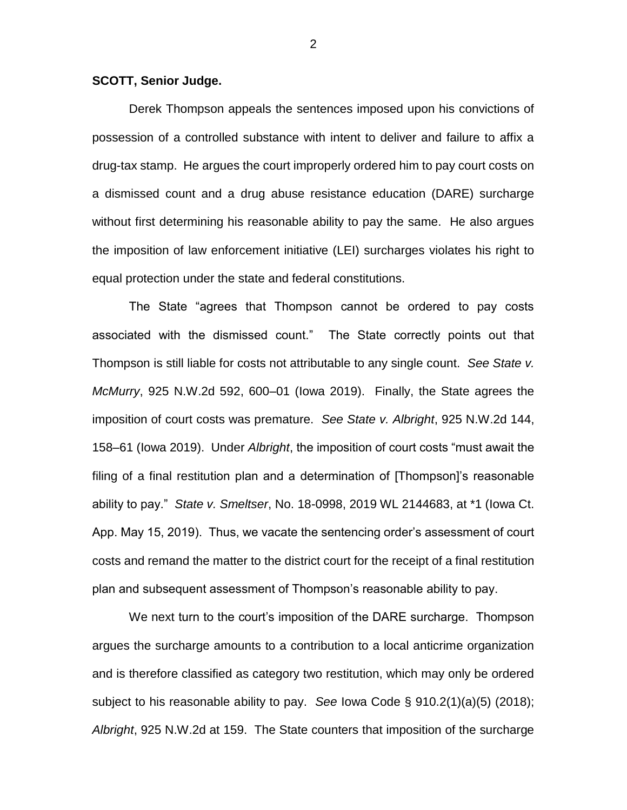### **SCOTT, Senior Judge.**

Derek Thompson appeals the sentences imposed upon his convictions of possession of a controlled substance with intent to deliver and failure to affix a drug-tax stamp. He argues the court improperly ordered him to pay court costs on a dismissed count and a drug abuse resistance education (DARE) surcharge without first determining his reasonable ability to pay the same. He also argues the imposition of law enforcement initiative (LEI) surcharges violates his right to equal protection under the state and federal constitutions.

The State "agrees that Thompson cannot be ordered to pay costs associated with the dismissed count." The State correctly points out that Thompson is still liable for costs not attributable to any single count. *See State v. McMurry*, 925 N.W.2d 592, 600–01 (Iowa 2019). Finally, the State agrees the imposition of court costs was premature. *See State v. Albright*, 925 N.W.2d 144, 158–61 (Iowa 2019). Under *Albright*, the imposition of court costs "must await the filing of a final restitution plan and a determination of [Thompson]'s reasonable ability to pay." *State v. Smeltser*, No. 18-0998, 2019 WL 2144683, at \*1 (Iowa Ct. App. May 15, 2019). Thus, we vacate the sentencing order's assessment of court costs and remand the matter to the district court for the receipt of a final restitution plan and subsequent assessment of Thompson's reasonable ability to pay.

We next turn to the court's imposition of the DARE surcharge. Thompson argues the surcharge amounts to a contribution to a local anticrime organization and is therefore classified as category two restitution, which may only be ordered subject to his reasonable ability to pay. *See* Iowa Code § 910.2(1)(a)(5) (2018); *Albright*, 925 N.W.2d at 159. The State counters that imposition of the surcharge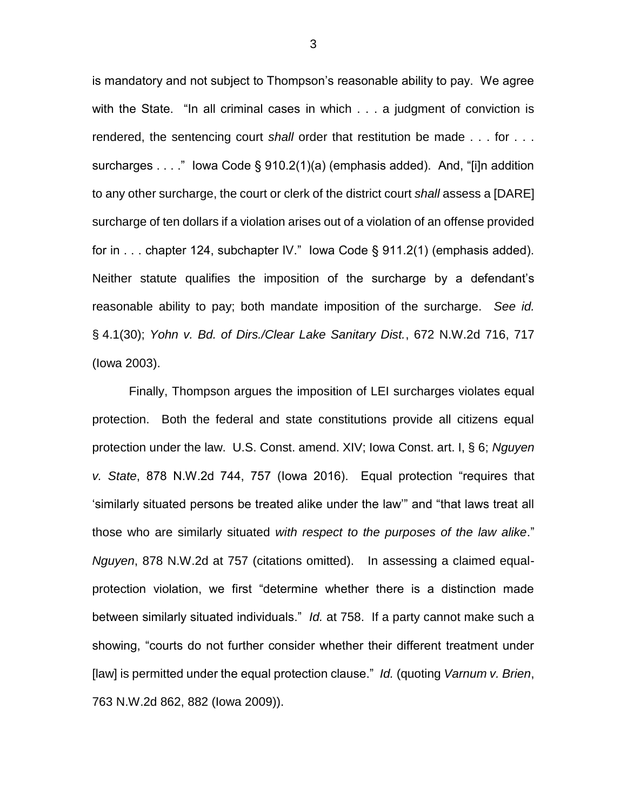is mandatory and not subject to Thompson's reasonable ability to pay. We agree with the State. "In all criminal cases in which . . . a judgment of conviction is rendered, the sentencing court *shall* order that restitution be made . . . for . . . surcharges . . . ." Iowa Code § 910.2(1)(a) (emphasis added). And, "[i]n addition to any other surcharge, the court or clerk of the district court *shall* assess a [DARE] surcharge of ten dollars if a violation arises out of a violation of an offense provided for in . . . chapter 124, subchapter IV." Iowa Code § 911.2(1) (emphasis added). Neither statute qualifies the imposition of the surcharge by a defendant's reasonable ability to pay; both mandate imposition of the surcharge. *See id.* § 4.1(30); *Yohn v. Bd. of Dirs./Clear Lake Sanitary Dist.*, 672 N.W.2d 716, 717 (Iowa 2003).

Finally, Thompson argues the imposition of LEI surcharges violates equal protection. Both the federal and state constitutions provide all citizens equal protection under the law. U.S. Const. amend. XIV; Iowa Const. art. I, § 6; *Nguyen v. State*, 878 N.W.2d 744, 757 (Iowa 2016). Equal protection "requires that 'similarly situated persons be treated alike under the law'" and "that laws treat all those who are similarly situated *with respect to the purposes of the law alike*." *Nguyen*, 878 N.W.2d at 757 (citations omitted). In assessing a claimed equalprotection violation, we first "determine whether there is a distinction made between similarly situated individuals." *Id.* at 758. If a party cannot make such a showing, "courts do not further consider whether their different treatment under [law] is permitted under the equal protection clause." *Id.* (quoting *Varnum v. Brien*, 763 N.W.2d 862, 882 (Iowa 2009)).

3